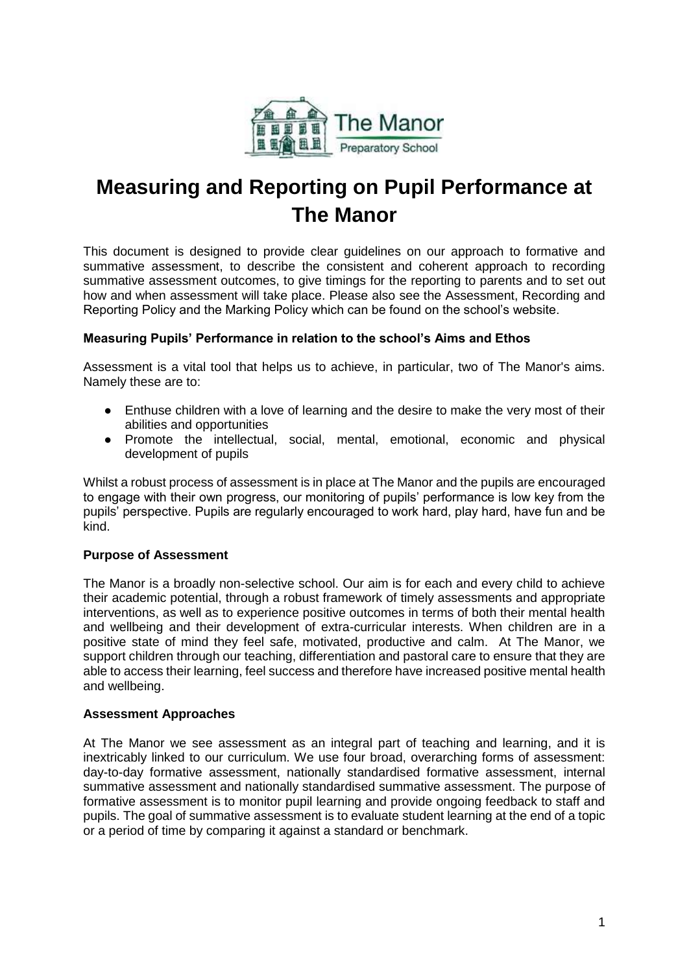

# **Measuring and Reporting on Pupil Performance at The Manor**

This document is designed to provide clear guidelines on our approach to formative and summative assessment, to describe the consistent and coherent approach to recording summative assessment outcomes, to give timings for the reporting to parents and to set out how and when assessment will take place. Please also see the Assessment, Recording and Reporting Policy and the Marking Policy which can be found on the school's website.

# **Measuring Pupils' Performance in relation to the school's Aims and Ethos**

Assessment is a vital tool that helps us to achieve, in particular, two of The Manor's aims. Namely these are to:

- Enthuse children with a love of learning and the desire to make the very most of their abilities and opportunities
- Promote the intellectual, social, mental, emotional, economic and physical development of pupils

Whilst a robust process of assessment is in place at The Manor and the pupils are encouraged to engage with their own progress, our monitoring of pupils' performance is low key from the pupils' perspective. Pupils are regularly encouraged to work hard, play hard, have fun and be kind.

# **Purpose of Assessment**

The Manor is a broadly non-selective school. Our aim is for each and every child to achieve their academic potential, through a robust framework of timely assessments and appropriate interventions, as well as to experience positive outcomes in terms of both their mental health and wellbeing and their development of extra-curricular interests. When children are in a positive state of mind they feel safe, motivated, productive and calm. At The Manor, we support children through our teaching, differentiation and pastoral care to ensure that they are able to access their learning, feel success and therefore have increased positive mental health and wellbeing.

#### **Assessment Approaches**

At The Manor we see assessment as an integral part of teaching and learning, and it is inextricably linked to our curriculum. We use four broad, overarching forms of assessment: day-to-day formative assessment, nationally standardised formative assessment, internal summative assessment and nationally standardised summative assessment. The purpose of formative assessment is to monitor pupil learning and provide ongoing feedback to staff and pupils. The goal of summative assessment is to evaluate student learning at the end of a topic or a period of time by comparing it against a standard or benchmark.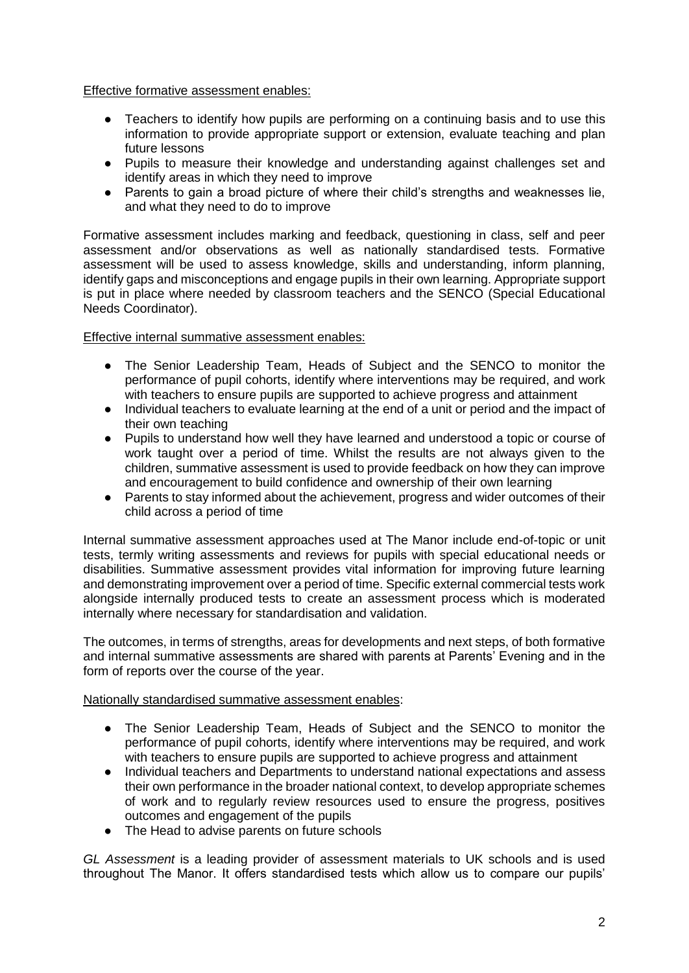#### Effective formative assessment enables:

- Teachers to identify how pupils are performing on a continuing basis and to use this information to provide appropriate support or extension, evaluate teaching and plan future lessons
- Pupils to measure their knowledge and understanding against challenges set and identify areas in which they need to improve
- Parents to gain a broad picture of where their child's strengths and weaknesses lie, and what they need to do to improve

Formative assessment includes marking and feedback, questioning in class, self and peer assessment and/or observations as well as nationally standardised tests. Formative assessment will be used to assess knowledge, skills and understanding, inform planning, identify gaps and misconceptions and engage pupils in their own learning. Appropriate support is put in place where needed by classroom teachers and the SENCO (Special Educational Needs Coordinator).

#### Effective internal summative assessment enables:

- The Senior Leadership Team, Heads of Subject and the SENCO to monitor the performance of pupil cohorts, identify where interventions may be required, and work with teachers to ensure pupils are supported to achieve progress and attainment
- Individual teachers to evaluate learning at the end of a unit or period and the impact of their own teaching
- Pupils to understand how well they have learned and understood a topic or course of work taught over a period of time. Whilst the results are not always given to the children, summative assessment is used to provide feedback on how they can improve and encouragement to build confidence and ownership of their own learning
- Parents to stay informed about the achievement, progress and wider outcomes of their child across a period of time

Internal summative assessment approaches used at The Manor include end-of-topic or unit tests, termly writing assessments and reviews for pupils with special educational needs or disabilities. Summative assessment provides vital information for improving future learning and demonstrating improvement over a period of time. Specific external commercial tests work alongside internally produced tests to create an assessment process which is moderated internally where necessary for standardisation and validation.

The outcomes, in terms of strengths, areas for developments and next steps, of both formative and internal summative assessments are shared with parents at Parents' Evening and in the form of reports over the course of the year.

#### Nationally standardised summative assessment enables:

- The Senior Leadership Team, Heads of Subject and the SENCO to monitor the performance of pupil cohorts, identify where interventions may be required, and work with teachers to ensure pupils are supported to achieve progress and attainment
- Individual teachers and Departments to understand national expectations and assess their own performance in the broader national context, to develop appropriate schemes of work and to regularly review resources used to ensure the progress, positives outcomes and engagement of the pupils
- The Head to advise parents on future schools

*GL Assessment* is a leading provider of assessment materials to UK schools and is used throughout The Manor. It offers standardised tests which allow us to compare our pupils'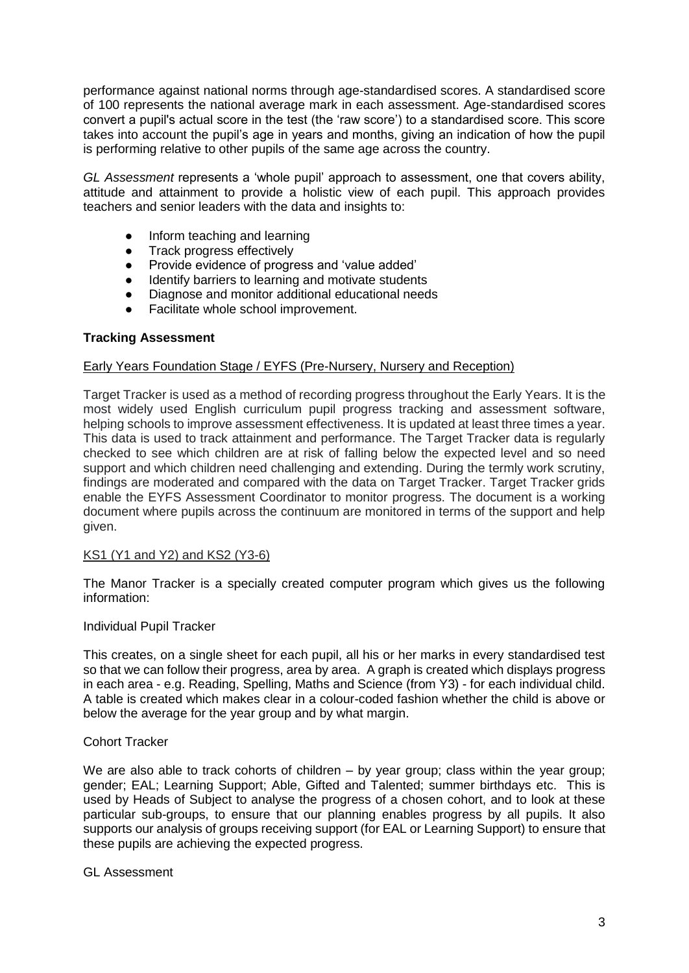performance against national norms through age-standardised scores. A standardised score of 100 represents the national average mark in each assessment. Age-standardised scores convert a pupil's actual score in the test (the 'raw score') to a standardised score. This score takes into account the pupil's age in years and months, giving an indication of how the pupil is performing relative to other pupils of the same age across the country.

*GL Assessment* represents a 'whole pupil' approach to assessment, one that covers ability, attitude and attainment to provide a holistic view of each pupil. This approach provides teachers and senior leaders with the data and insights to:

- Inform teaching and learning
- Track progress effectively
- Provide evidence of progress and 'value added'
- Identify barriers to learning and motivate students
- Diagnose and monitor additional educational needs
- Facilitate whole school improvement.

# **Tracking Assessment**

#### Early Years Foundation Stage / EYFS (Pre-Nursery, Nursery and Reception)

Target Tracker is used as a method of recording progress throughout the Early Years. It is the most widely used English curriculum pupil progress tracking and assessment software, helping schools to improve assessment effectiveness. It is updated at least three times a year. This data is used to track attainment and performance. The Target Tracker data is regularly checked to see which children are at risk of falling below the expected level and so need support and which children need challenging and extending. During the termly work scrutiny, findings are moderated and compared with the data on Target Tracker. Target Tracker grids enable the EYFS Assessment Coordinator to monitor progress. The document is a working document where pupils across the continuum are monitored in terms of the support and help given.

#### KS1 (Y1 and Y2) and KS2 (Y3-6)

The Manor Tracker is a specially created computer program which gives us the following information:

#### Individual Pupil Tracker

This creates, on a single sheet for each pupil, all his or her marks in every standardised test so that we can follow their progress, area by area. A graph is created which displays progress in each area - e.g. Reading, Spelling, Maths and Science (from Y3) - for each individual child. A table is created which makes clear in a colour-coded fashion whether the child is above or below the average for the year group and by what margin.

#### Cohort Tracker

We are also able to track cohorts of children – by year group; class within the year group; gender; EAL; Learning Support; Able, Gifted and Talented; summer birthdays etc. This is used by Heads of Subject to analyse the progress of a chosen cohort, and to look at these particular sub-groups, to ensure that our planning enables progress by all pupils. It also supports our analysis of groups receiving support (for EAL or Learning Support) to ensure that these pupils are achieving the expected progress.

#### GL Assessment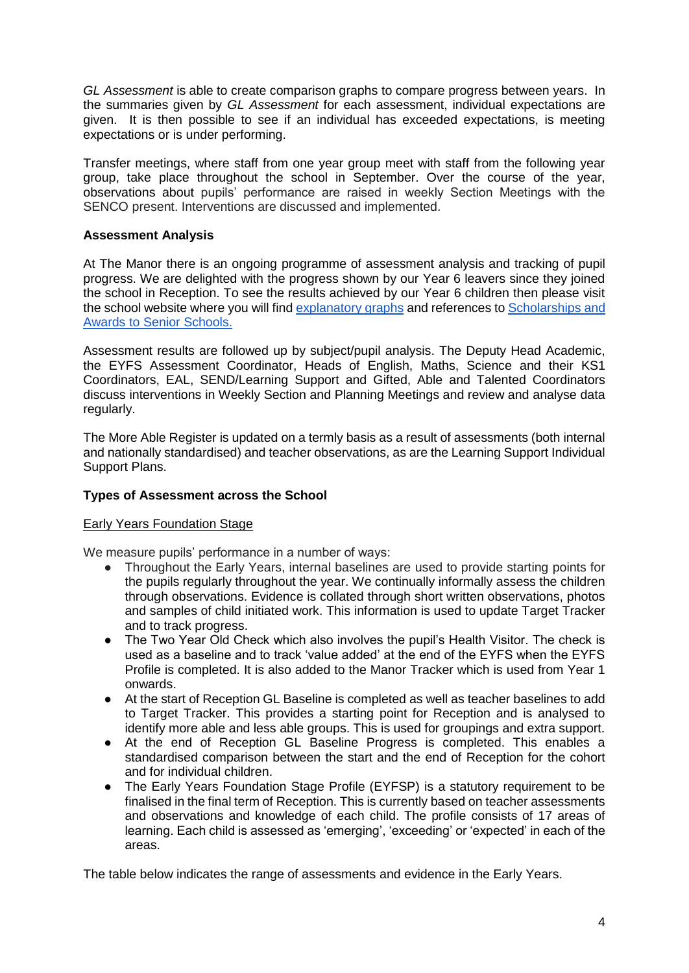*GL Assessment* is able to create comparison graphs to compare progress between years. In the summaries given by *GL Assessment* for each assessment, individual expectations are given. It is then possible to see if an individual has exceeded expectations, is meeting expectations or is under performing.

Transfer meetings, where staff from one year group meet with staff from the following year group, take place throughout the school in September. Over the course of the year, observations about pupils' performance are raised in weekly Section Meetings with the SENCO present. Interventions are discussed and implemented.

# **Assessment Analysis**

At The Manor there is an ongoing programme of assessment analysis and tracking of pupil progress. We are delighted with the progress shown by our Year 6 leavers since they joined the school in Reception. To see the results achieved by our Year 6 children then please visit the school website where you will find [explanatory graphs](https://www.manorprep.org/wp-content/uploads/2019/12/Year-6-Results-2016-2020.pdf) and references to [Scholarships and](https://www.manorprep.org/wp-content/uploads/2020/06/Scholarships-and-Awards-2012-2020.pdf)  [Awards to Senior Schools.](https://www.manorprep.org/wp-content/uploads/2020/06/Scholarships-and-Awards-2012-2020.pdf)

Assessment results are followed up by subject/pupil analysis. The Deputy Head Academic, the EYFS Assessment Coordinator, Heads of English, Maths, Science and their KS1 Coordinators, EAL, SEND/Learning Support and Gifted, Able and Talented Coordinators discuss interventions in Weekly Section and Planning Meetings and review and analyse data regularly.

The More Able Register is updated on a termly basis as a result of assessments (both internal and nationally standardised) and teacher observations, as are the Learning Support Individual Support Plans.

#### **Types of Assessment across the School**

#### Early Years Foundation Stage

We measure pupils' performance in a number of ways:

- Throughout the Early Years, internal baselines are used to provide starting points for the pupils regularly throughout the year. We continually informally assess the children through observations. Evidence is collated through short written observations, photos and samples of child initiated work. This information is used to update Target Tracker and to track progress.
- The Two Year Old Check which also involves the pupil's Health Visitor. The check is used as a baseline and to track 'value added' at the end of the EYFS when the EYFS Profile is completed. It is also added to the Manor Tracker which is used from Year 1 onwards.
- At the start of Reception GL Baseline is completed as well as teacher baselines to add to Target Tracker. This provides a starting point for Reception and is analysed to identify more able and less able groups. This is used for groupings and extra support.
- At the end of Reception GL Baseline Progress is completed. This enables a standardised comparison between the start and the end of Reception for the cohort and for individual children.
- The Early Years Foundation Stage Profile (EYFSP) is a statutory requirement to be finalised in the final term of Reception. This is currently based on teacher assessments and observations and knowledge of each child. The profile consists of 17 areas of learning. Each child is assessed as 'emerging', 'exceeding' or 'expected' in each of the areas.

The table below indicates the range of assessments and evidence in the Early Years.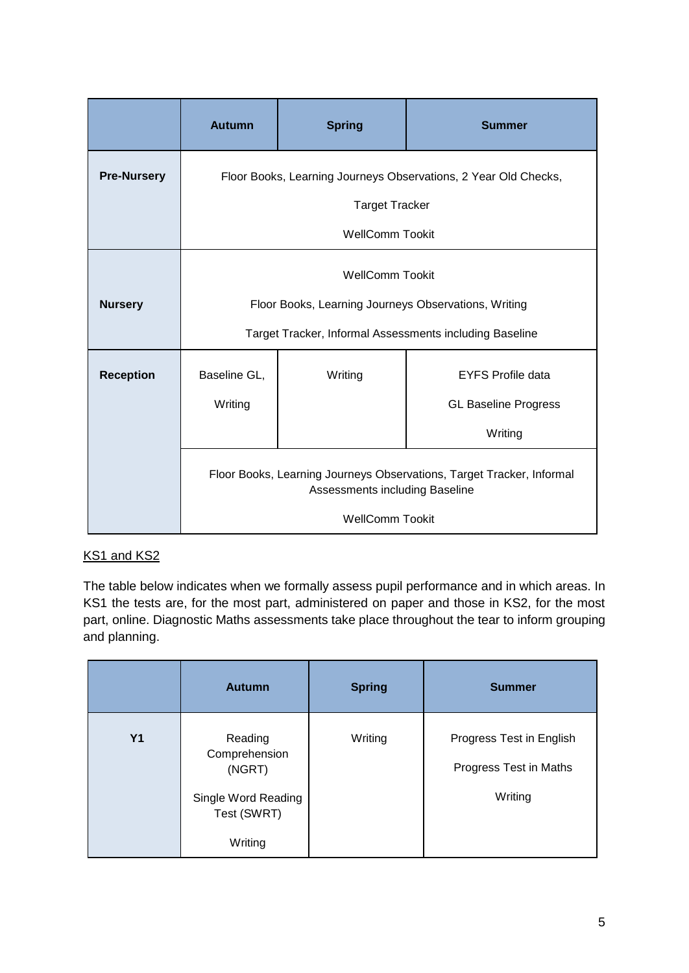|                    | <b>Autumn</b>                                                                                           | <b>Spring</b>                                           | <b>Summer</b>               |  |  |  |
|--------------------|---------------------------------------------------------------------------------------------------------|---------------------------------------------------------|-----------------------------|--|--|--|
| <b>Pre-Nursery</b> | Floor Books, Learning Journeys Observations, 2 Year Old Checks,                                         |                                                         |                             |  |  |  |
|                    | <b>Target Tracker</b>                                                                                   |                                                         |                             |  |  |  |
|                    | <b>WellComm Tookit</b>                                                                                  |                                                         |                             |  |  |  |
|                    |                                                                                                         | <b>WellComm Tookit</b>                                  |                             |  |  |  |
| <b>Nursery</b>     |                                                                                                         | Floor Books, Learning Journeys Observations, Writing    |                             |  |  |  |
|                    |                                                                                                         | Target Tracker, Informal Assessments including Baseline |                             |  |  |  |
| <b>Reception</b>   | Baseline GL,                                                                                            | Writing                                                 | <b>EYFS Profile data</b>    |  |  |  |
|                    | Writing                                                                                                 |                                                         | <b>GL Baseline Progress</b> |  |  |  |
|                    |                                                                                                         | Writing                                                 |                             |  |  |  |
|                    | Floor Books, Learning Journeys Observations, Target Tracker, Informal<br>Assessments including Baseline |                                                         |                             |  |  |  |
|                    | <b>WellComm Tookit</b>                                                                                  |                                                         |                             |  |  |  |

# KS1 and KS2

The table below indicates when we formally assess pupil performance and in which areas. In KS1 the tests are, for the most part, administered on paper and those in KS2, for the most part, online. Diagnostic Maths assessments take place throughout the tear to inform grouping and planning.

|                | <b>Autumn</b>                                                            | <b>Spring</b> | <b>Summer</b>                                                 |
|----------------|--------------------------------------------------------------------------|---------------|---------------------------------------------------------------|
| Y <sub>1</sub> | Reading<br>Comprehension<br>(NGRT)<br>Single Word Reading<br>Test (SWRT) | Writing       | Progress Test in English<br>Progress Test in Maths<br>Writing |
|                | Writing                                                                  |               |                                                               |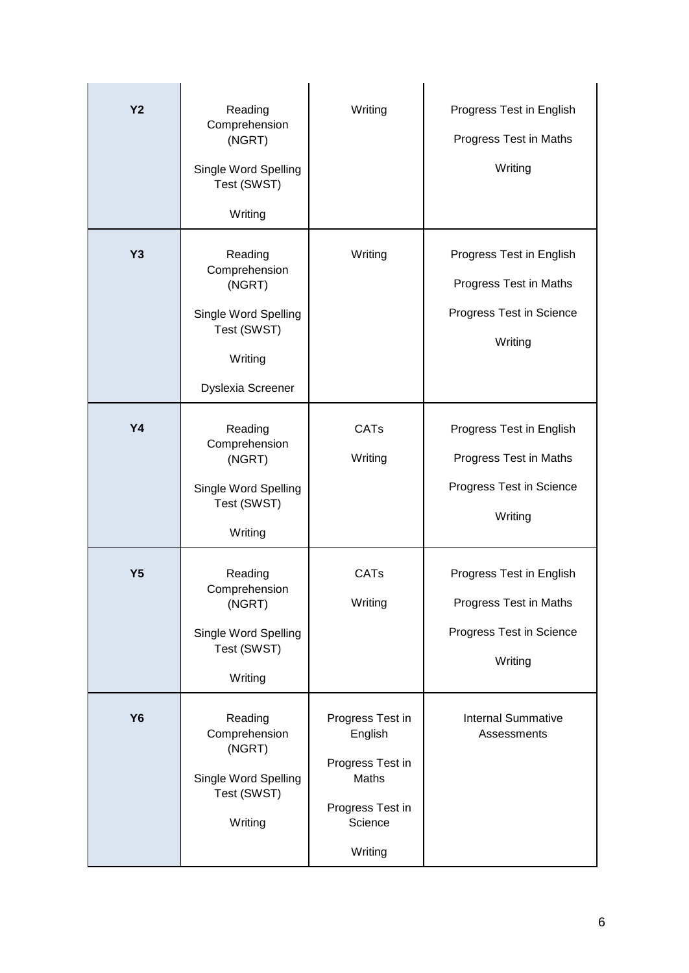| Y <sub>2</sub> | Reading                                                                              | Writing                                                                                            | Progress Test in English                                                                  |
|----------------|--------------------------------------------------------------------------------------|----------------------------------------------------------------------------------------------------|-------------------------------------------------------------------------------------------|
|                | Comprehension<br>(NGRT)                                                              |                                                                                                    | Progress Test in Maths                                                                    |
|                | Single Word Spelling<br>Test (SWST)                                                  |                                                                                                    | Writing                                                                                   |
|                | Writing                                                                              |                                                                                                    |                                                                                           |
| <b>Y3</b>      | Reading<br>Comprehension<br>(NGRT)                                                   | Writing                                                                                            | Progress Test in English<br>Progress Test in Maths                                        |
|                | Single Word Spelling<br>Test (SWST)<br>Writing                                       |                                                                                                    | Progress Test in Science<br>Writing                                                       |
|                | Dyslexia Screener                                                                    |                                                                                                    |                                                                                           |
| <b>Y4</b>      | Reading<br>Comprehension                                                             | <b>CATs</b><br>Writing                                                                             | Progress Test in English<br>Progress Test in Maths                                        |
|                | (NGRT)<br>Single Word Spelling<br>Test (SWST)<br>Writing                             |                                                                                                    | Progress Test in Science<br>Writing                                                       |
| Y <sub>5</sub> | Reading<br>Comprehension<br>(NGRT)<br>Single Word Spelling<br>Test (SWST)<br>Writing | <b>CATs</b><br>Writing                                                                             | Progress Test in English<br>Progress Test in Maths<br>Progress Test in Science<br>Writing |
| <b>Y6</b>      | Reading<br>Comprehension<br>(NGRT)<br>Single Word Spelling<br>Test (SWST)<br>Writing | Progress Test in<br>English<br>Progress Test in<br>Maths<br>Progress Test in<br>Science<br>Writing | <b>Internal Summative</b><br>Assessments                                                  |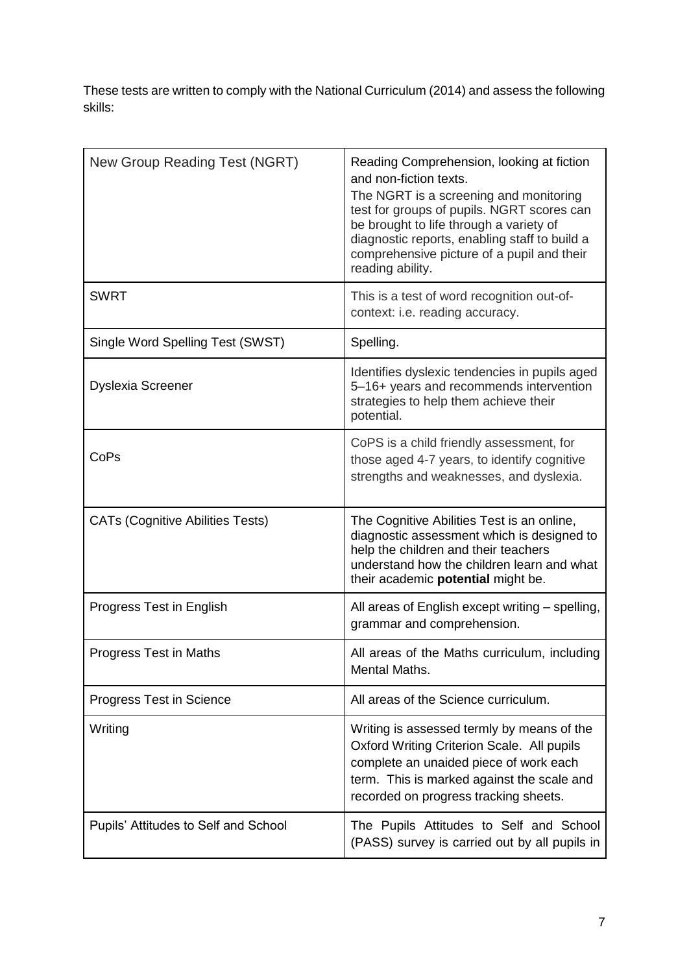These tests are written to comply with the National Curriculum (2014) and assess the following skills:

| New Group Reading Test (NGRT)           | Reading Comprehension, looking at fiction<br>and non-fiction texts.<br>The NGRT is a screening and monitoring<br>test for groups of pupils. NGRT scores can<br>be brought to life through a variety of<br>diagnostic reports, enabling staff to build a<br>comprehensive picture of a pupil and their<br>reading ability. |
|-----------------------------------------|---------------------------------------------------------------------------------------------------------------------------------------------------------------------------------------------------------------------------------------------------------------------------------------------------------------------------|
| <b>SWRT</b>                             | This is a test of word recognition out-of-<br>context: i.e. reading accuracy.                                                                                                                                                                                                                                             |
| Single Word Spelling Test (SWST)        | Spelling.                                                                                                                                                                                                                                                                                                                 |
| <b>Dyslexia Screener</b>                | Identifies dyslexic tendencies in pupils aged<br>5-16+ years and recommends intervention<br>strategies to help them achieve their<br>potential.                                                                                                                                                                           |
| CoPs                                    | CoPS is a child friendly assessment, for<br>those aged 4-7 years, to identify cognitive<br>strengths and weaknesses, and dyslexia.                                                                                                                                                                                        |
| <b>CATs (Cognitive Abilities Tests)</b> | The Cognitive Abilities Test is an online,<br>diagnostic assessment which is designed to<br>help the children and their teachers<br>understand how the children learn and what<br>their academic potential might be.                                                                                                      |
| Progress Test in English                | All areas of English except writing - spelling,<br>grammar and comprehension.                                                                                                                                                                                                                                             |
| Progress Test in Maths                  | All areas of the Maths curriculum, including<br>Mental Maths.                                                                                                                                                                                                                                                             |
| Progress Test in Science                | All areas of the Science curriculum.                                                                                                                                                                                                                                                                                      |
| Writing                                 | Writing is assessed termly by means of the<br>Oxford Writing Criterion Scale. All pupils<br>complete an unaided piece of work each<br>term. This is marked against the scale and<br>recorded on progress tracking sheets.                                                                                                 |
| Pupils' Attitudes to Self and School    | The Pupils Attitudes to Self and School<br>(PASS) survey is carried out by all pupils in                                                                                                                                                                                                                                  |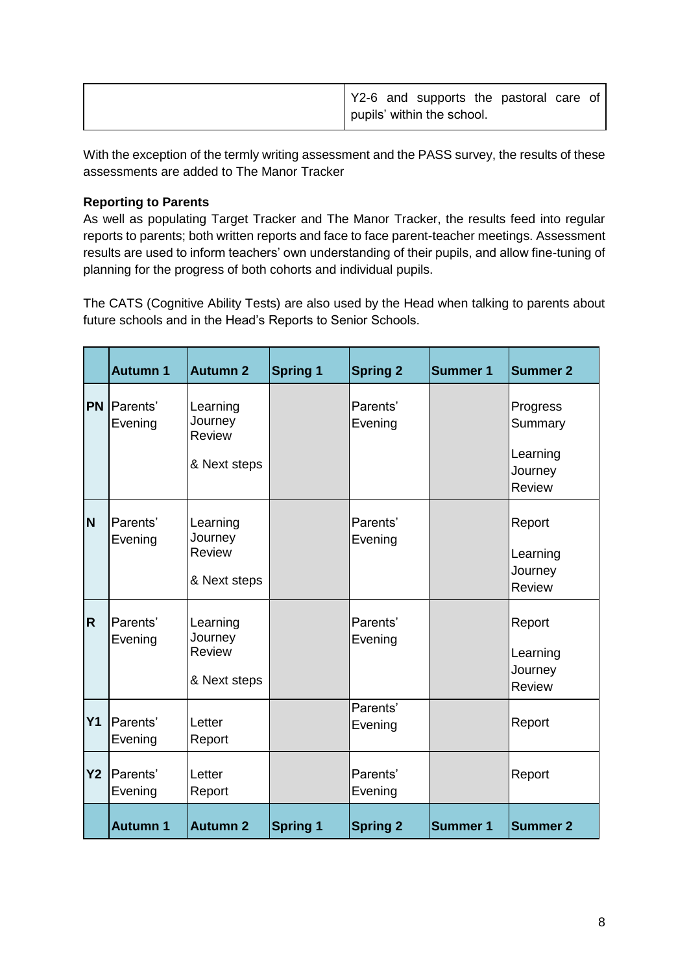| Y2-6 and supports the pastoral care of |
|----------------------------------------|
| pupils' within the school.             |

With the exception of the termly writing assessment and the PASS survey, the results of these assessments are added to The Manor Tracker

# **Reporting to Parents**

As well as populating Target Tracker and The Manor Tracker, the results feed into regular reports to parents; both written reports and face to face parent-teacher meetings. Assessment results are used to inform teachers' own understanding of their pupils, and allow fine-tuning of planning for the progress of both cohorts and individual pupils.

The CATS (Cognitive Ability Tests) are also used by the Head when talking to parents about future schools and in the Head's Reports to Senior Schools.

|                | <b>Autumn 1</b>              | <b>Autumn 2</b>                                      | <b>Spring 1</b> | <b>Spring 2</b>     | <b>Summer 1</b> | <b>Summer 2</b>                                      |
|----------------|------------------------------|------------------------------------------------------|-----------------|---------------------|-----------------|------------------------------------------------------|
| <b>PN</b>      | <b>IParents</b> '<br>Evening | Learning<br>Journey<br><b>Review</b><br>& Next steps |                 | Parents'<br>Evening |                 | Progress<br>Summary<br>Learning<br>Journey<br>Review |
| <b>N</b>       | Parents'<br>Evening          | Learning<br>Journey<br>Review<br>& Next steps        |                 | Parents'<br>Evening |                 | Report<br>Learning<br>Journey<br><b>Review</b>       |
| $\overline{R}$ | Parents'<br>Evening          | Learning<br>Journey<br>Review<br>& Next steps        |                 | Parents'<br>Evening |                 | Report<br>Learning<br>Journey<br><b>Review</b>       |
| Y <sub>1</sub> | Parents'<br>Evening          | Letter<br>Report                                     |                 | Parents'<br>Evening |                 | Report                                               |
| <b>Y2</b>      | Parents'<br>Evening          | Letter<br>Report                                     |                 | Parents'<br>Evening |                 | Report                                               |
|                | <b>Autumn 1</b>              | <b>Autumn 2</b>                                      | <b>Spring 1</b> | <b>Spring 2</b>     | <b>Summer 1</b> | <b>Summer 2</b>                                      |